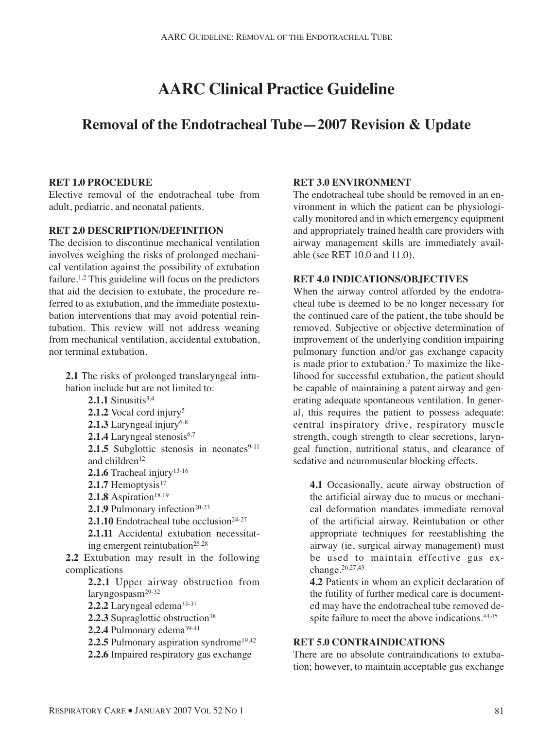# **AARC Clinical Practice Guideline**

## **Removal of the Endotracheal Tube—2007 Revision & Update**

#### **RET 1.0 PROCEDURE**

Elective removal of the endotracheal tube from adult, pediatric, and neonatal patients.

#### **RET 2.0 DESCRIPTION/DEFINITION**

The decision to discontinue mechanical ventilation involves weighing the risks of prolonged mechanical ventilation against the possibility of extubation failure.1,2 This guideline will focus on the predictors that aid the decision to extubate, the procedure referred to as extubation, and the immediate postextubation interventions that may avoid potential reintubation. This review will not address weaning from mechanical ventilation, accidental extubation, nor terminal extubation.

**2.1** The risks of prolonged translaryngeal intubation include but are not limited to: **2.1.1** Sinusitis $3,4$ 2.1.2 Vocal cord injury<sup>5</sup> 2.1.3 Laryngeal injury<sup>6-8</sup> **2.1.4** Laryngeal stenosis<sup>6,7</sup> **2.1.5** Subglottic stenosis in neonates $9-11$ and children<sup>12</sup> 2.1.6 Tracheal injury<sup>13-16</sup> 2.1.7 Hemoptysis<sup>17</sup> 2.1.8 Aspiration<sup>18,19</sup> **2.1.9** Pulmonary infection<sup>20-23</sup> **2.1.10** Endotracheal tube occlusion $24-27$ **2.1.11** Accidental extubation necessitating emergent reintubation<sup>25,28</sup> **2.2** Extubation may result in the following complications **2.2.1** Upper airway obstruction from laryngospasm29-32 **2.2.2** Laryngeal edema33-37 2.2.3 Supraglottic obstruction<sup>38</sup> 2.2.4 Pulmonary edema<sup>39-41</sup> 2.2.5 Pulmonary aspiration syndrome<sup>19,42</sup> **2.2.6** Impaired respiratory gas exchange

### **RET 3.0 ENVIRONMENT**

The endotracheal tube should be removed in an environment in which the patient can be physiologically monitored and in which emergency equipment and appropriately trained health care providers with airway management skills are immediately available (see RET 10.0 and 11.0).

#### **RET 4.0 INDICATIONS/OBJECTIVES**

When the airway control afforded by the endotracheal tube is deemed to be no longer necessary for the continued care of the patient, the tube should be removed. Subjective or objective determination of improvement of the underlying condition impairing pulmonary function and/or gas exchange capacity is made prior to extubation.2 To maximize the likelihood for successful extubation, the patient should be capable of maintaining a patent airway and generating adequate spontaneous ventilation. In general, this requires the patient to possess adequate: central inspiratory drive, respiratory muscle strength, cough strength to clear secretions, laryngeal function, nutritional status, and clearance of sedative and neuromuscular blocking effects.

**4.1** Occasionally, acute airway obstruction of the artificial airway due to mucus or mechanical deformation mandates immediate removal of the artificial airway. Reintubation or other appropriate techniques for reestablishing the airway (ie, surgical airway management) must be used to maintain effective gas exchange.26,27,43

**4.2** Patients in whom an explicit declaration of the futility of further medical care is documented may have the endotracheal tube removed despite failure to meet the above indications.<sup>44,45</sup>

#### **RET 5.0 CONTRAINDICATIONS**

There are no absolute contraindications to extubation; however, to maintain acceptable gas exchange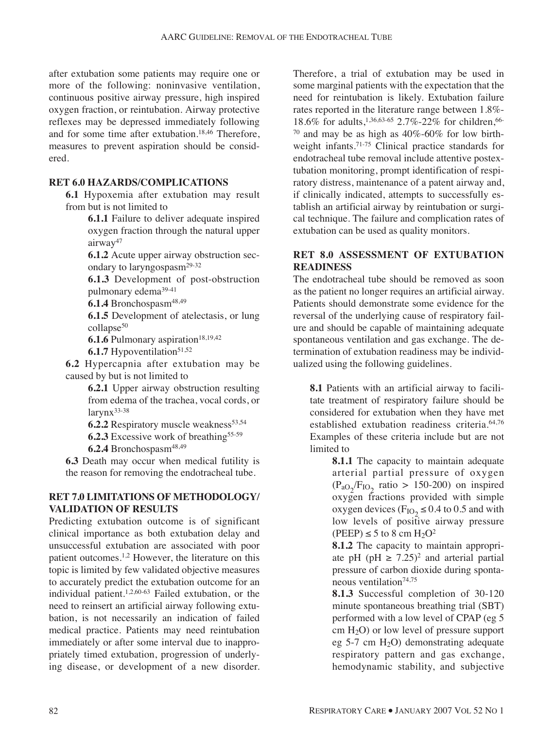after extubation some patients may require one or more of the following: noninvasive ventilation, continuous positive airway pressure, high inspired oxygen fraction, or reintubation. Airway protective reflexes may be depressed immediately following and for some time after extubation.18,46 Therefore, measures to prevent aspiration should be considered.

#### **RET 6.0 HAZARDS/COMPLICATIONS**

**6.1** Hypoxemia after extubation may result from but is not limited to

> **6.1.1** Failure to deliver adequate inspired oxygen fraction through the natural upper airway<sup>47</sup>

> **6.1.2** Acute upper airway obstruction secondary to laryngospasm<sup>29-32</sup>

> **6.1.3** Development of post-obstruction pulmonary edema39-41

6.1.4 Bronchospasm<sup>48,49</sup>

**6.1.5** Development of atelectasis, or lung collapse<sup>50</sup>

**6.1.6** Pulmonary aspiration<sup>18,19,42</sup>

**6.1.7** Hypoventilation<sup>51,52</sup>

**6.2** Hypercapnia after extubation may be caused by but is not limited to

> **6.2.1** Upper airway obstruction resulting from edema of the trachea, vocal cords, or larynx<sup>33-38</sup>

**6.2.2** Respiratory muscle weakness<sup>53,54</sup>

**6.2.3** Excessive work of breathing<sup>55-59</sup>

**6.2.4** Bronchospasm48,49

**6.3** Death may occur when medical futility is the reason for removing the endotracheal tube.

#### **RET 7.0 LIMITATIONS OF METHODOLOGY/ VALIDATION OF RESULTS**

Predicting extubation outcome is of significant clinical importance as both extubation delay and unsuccessful extubation are associated with poor patient outcomes.1,2 However, the literature on this topic is limited by few validated objective measures to accurately predict the extubation outcome for an individual patient.<sup>1,2,60-63</sup> Failed extubation, or the need to reinsert an artificial airway following extubation, is not necessarily an indication of failed medical practice. Patients may need reintubation immediately or after some interval due to inappropriately timed extubation, progression of underlying disease, or development of a new disorder. Therefore, a trial of extubation may be used in some marginal patients with the expectation that the need for reintubation is likely. Extubation failure rates reported in the literature range between 1.8%- 18.6% for adults,<sup>1,36,63-65</sup> 2.7%-22% for children,<sup>66-</sup>  $70$  and may be as high as  $40\%$ -60% for low birthweight infants.71-75 Clinical practice standards for endotracheal tube removal include attentive postextubation monitoring, prompt identification of respiratory distress, maintenance of a patent airway and, if clinically indicated, attempts to successfully establish an artificial airway by reintubation or surgical technique. The failure and complication rates of extubation can be used as quality monitors.

#### **RET 8.0 ASSESSMENT OF EXTUBATION READINESS**

The endotracheal tube should be removed as soon as the patient no longer requires an artificial airway. Patients should demonstrate some evidence for the reversal of the underlying cause of respiratory failure and should be capable of maintaining adequate spontaneous ventilation and gas exchange. The determination of extubation readiness may be individualized using the following guidelines.

**8.1** Patients with an artificial airway to facilitate treatment of respiratory failure should be considered for extubation when they have met established extubation readiness criteria.64,76 Examples of these criteria include but are not limited to

> **8.1.1** The capacity to maintain adequate arterial partial pressure of oxygen  $(P_{aO_2}/F_{IO_2}$  ratio > 150-200) on inspired oxygen fractions provided with simple oxygen devices ( $F_{IO_2} \le 0.4$  to 0.5 and with low levels of positive airway pressure  $(PEEP) \leq 5$  to 8 cm  $H_2O^2$

> **8.1.2** The capacity to maintain appropriate pH (pH  $\geq$  7.25)<sup>2</sup> and arterial partial pressure of carbon dioxide during spontaneous ventilation<sup>74,75</sup>

> **8.1.3** Successful completion of 30-120 minute spontaneous breathing trial (SBT) performed with a low level of CPAP (eg 5 cm  $H_2O$ ) or low level of pressure support eg 5-7 cm  $H_2O$ ) demonstrating adequate respiratory pattern and gas exchange, hemodynamic stability, and subjective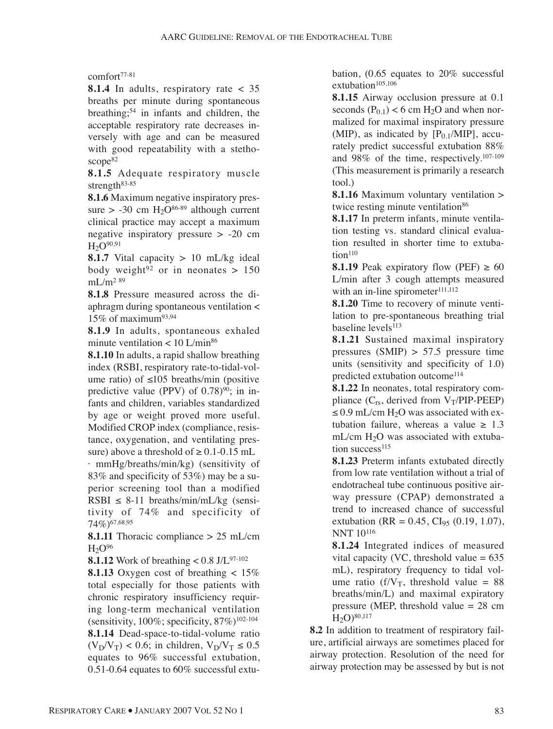comfort77-81

**8.1.4** In adults, respiratory rate < 35 breaths per minute during spontaneous breathing;54 in infants and children, the acceptable respiratory rate decreases inversely with age and can be measured with good repeatability with a stethoscope<sup>82</sup>

**8.1.5** Adequate respiratory muscle strength<sup>83-85</sup>

**8.1.6** Maximum negative inspiratory pressure  $>$  -30 cm H<sub>2</sub>O<sup>86-89</sup> although current clinical practice may accept a maximum negative inspiratory pressure > -20 cm  $H_2O^{90,91}$ 

**8.1.7** Vital capacity  $> 10$  mL/kg ideal body weight<sup>92</sup> or in neonates  $> 150$  $mL/m^2$ <sup>89</sup>

**8.1.8** Pressure measured across the diaphragm during spontaneous ventilation < 15% of maximum<sup>93,94</sup>

**8.1.9** In adults, spontaneous exhaled minute ventilation  $< 10$  L/min<sup>86</sup>

**8.1.10** In adults, a rapid shallow breathing index (RSBI, respiratory rate-to-tidal-volume ratio) of  $≤105$  breaths/min (positive predictive value (PPV) of  $0.78$ <sup>90</sup>; in infants and children, variables standardized by age or weight proved more useful. Modified CROP index (compliance, resistance, oxygenation, and ventilating pressure) above a threshold of  $\geq 0.1$ -0.15 mL · mmHg/breaths/min/kg) (sensitivity of 83% and specificity of 53%) may be a superior screening tool than a modified RSBI  $\leq$  8-11 breaths/min/mL/kg (sensitivity of 74% and specificity of 74%)67,68,95

**8.1.11** Thoracic compliance > 25 mL/cm  $H<sub>2</sub>O<sup>96</sup>$ 

**8.1.12** Work of breathing  $< 0.8$  J/L<sup>97-102</sup>

**8.1.13** Oxygen cost of breathing < 15% total especially for those patients with chronic respiratory insufficiency requiring long-term mechanical ventilation (sensitivity, 100%; specificity,  $87\%$ )<sup>102-104</sup> **8.1.14** Dead-space-to-tidal-volume ratio  $(V_D/V_T)$  < 0.6; in children,  $V_D/V_T \le 0.5$ equates to 96% successful extubation, 0.51-0.64 equates to 60% successful extubation, (0.65 equates to 20% successful extubation $105,106$ 

**8.1.15** Airway occlusion pressure at 0.1 seconds  $(P_{0,1})$  < 6 cm H<sub>2</sub>O and when normalized for maximal inspiratory pressure (MIP), as indicated by  $[P_{0.1}/MIP]$ , accurately predict successful extubation 88% and 98% of the time, respectively.107-109 (This measurement is primarily a research tool.)

**8.1.16** Maximum voluntary ventilation > twice resting minute ventilation<sup>86</sup>

**8.1.17** In preterm infants, minute ventilation testing vs. standard clinical evaluation resulted in shorter time to extuba $tion<sup>110</sup>$ 

**8.1.19** Peak expiratory flow (PEF)  $\geq 60$ L/min after 3 cough attempts measured with an in-line spirometer<sup>111,112</sup>

**8.1.20** Time to recovery of minute ventilation to pre-spontaneous breathing trial baseline levels<sup>113</sup>

**8.1.21** Sustained maximal inspiratory pressures (SMIP)  $> 57.5$  pressure time units (sensitivity and specificity of 1.0) predicted extubation outcome<sup>114</sup>

**8.1.22** In neonates, total respiratory compliance  $(C_{rs}$ , derived from  $V_T/PIP-PEEP)$ ≤ 0.9 mL/cm  $H_2O$  was associated with extubation failure, whereas a value  $\geq 1.3$  $mL/cm H<sub>2</sub>O$  was associated with extubation success $115$ 

**8.1.23** Preterm infants extubated directly from low rate ventilation without a trial of endotracheal tube continuous positive airway pressure (CPAP) demonstrated a trend to increased chance of successful extubation (RR =  $0.45$ , CI<sub>95</sub> (0.19, 1.07), NNT 10116

**8.1.24** Integrated indices of measured vital capacity (VC, threshold value  $= 635$ mL), respiratory frequency to tidal volume ratio (f/ $V_T$ , threshold value = 88 breaths/min/L) and maximal expiratory pressure (MEP, threshold value = 28 cm  $H_2O$ )<sup>80,117</sup>

**8.2** In addition to treatment of respiratory failure, artificial airways are sometimes placed for airway protection. Resolution of the need for airway protection may be assessed by but is not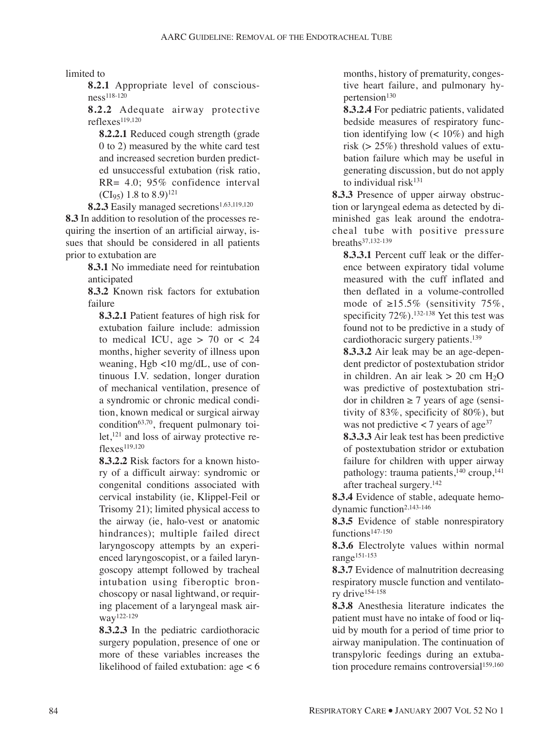limited to

**8.2.1** Appropriate level of consciousness118-120

**8.2.2** Adequate airway protective reflexes119,120

**8.2.2.1** Reduced cough strength (grade 0 to 2) measured by the white card test and increased secretion burden predicted unsuccessful extubation (risk ratio, RR= 4.0; 95% confidence interval (CI<sub>95</sub>) 1.8 to 8.9)<sup>121</sup>

8.2.3 Easily managed secretions<sup>1,63,119,120</sup>

**8.3** In addition to resolution of the processes requiring the insertion of an artificial airway, issues that should be considered in all patients prior to extubation are

> **8.3.1** No immediate need for reintubation anticipated

> **8.3.2** Known risk factors for extubation failure

**8.3.2.1** Patient features of high risk for extubation failure include: admission to medical ICU, age  $> 70$  or  $< 24$ months, higher severity of illness upon weaning, Hgb <10 mg/dL, use of continuous I.V. sedation, longer duration of mechanical ventilation, presence of a syndromic or chronic medical condition, known medical or surgical airway condition<sup>63,70</sup>, frequent pulmonary toilet,<sup>121</sup> and loss of airway protective reflexes119,120

**8.3.2.2** Risk factors for a known history of a difficult airway: syndromic or congenital conditions associated with cervical instability (ie, Klippel-Feil or Trisomy 21); limited physical access to the airway (ie, halo-vest or anatomic hindrances); multiple failed direct laryngoscopy attempts by an experienced laryngoscopist, or a failed laryngoscopy attempt followed by tracheal intubation using fiberoptic bronchoscopy or nasal lightwand, or requiring placement of a laryngeal mask airway122-129

**8.3.2.3** In the pediatric cardiothoracic surgery population, presence of one or more of these variables increases the likelihood of failed extubation: age < 6 months, history of prematurity, congestive heart failure, and pulmonary hypertension<sup>130</sup>

**8.3.2.4** For pediatric patients, validated bedside measures of respiratory function identifying low  $\left($  < 10%) and high risk (> 25%) threshold values of extubation failure which may be useful in generating discussion, but do not apply to individual risk $131$ 

**8.3.3** Presence of upper airway obstruction or laryngeal edema as detected by diminished gas leak around the endotracheal tube with positive pressure breaths37,132-139

**8.3.3.1** Percent cuff leak or the difference between expiratory tidal volume measured with the cuff inflated and then deflated in a volume-controlled mode of  $\geq 15.5\%$  (sensitivity 75%, specificity 72%).132-138 Yet this test was found not to be predictive in a study of cardiothoracic surgery patients.<sup>139</sup>

**8.3.3.2** Air leak may be an age-dependent predictor of postextubation stridor in children. An air leak  $> 20$  cm H<sub>2</sub>O was predictive of postextubation stridor in children  $\geq$  7 years of age (sensitivity of 83%, specificity of 80%), but was not predictive  $\lt$  7 years of age<sup>37</sup>

**8.3.3.3** Air leak test has been predictive of postextubation stridor or extubation failure for children with upper airway pathology: trauma patients, $140$  croup, $141$ after tracheal surgery.142

**8.3.4** Evidence of stable, adequate hemodynamic function<sup>2,143-146</sup>

**8.3.5** Evidence of stable nonrespiratory functions<sup>147-150</sup>

**8.3.6** Electrolyte values within normal range151-153

**8.3.7** Evidence of malnutrition decreasing respiratory muscle function and ventilatory drive154-158

**8.3.8** Anesthesia literature indicates the patient must have no intake of food or liquid by mouth for a period of time prior to airway manipulation. The continuation of transpyloric feedings during an extubation procedure remains controversial<sup>159,160</sup>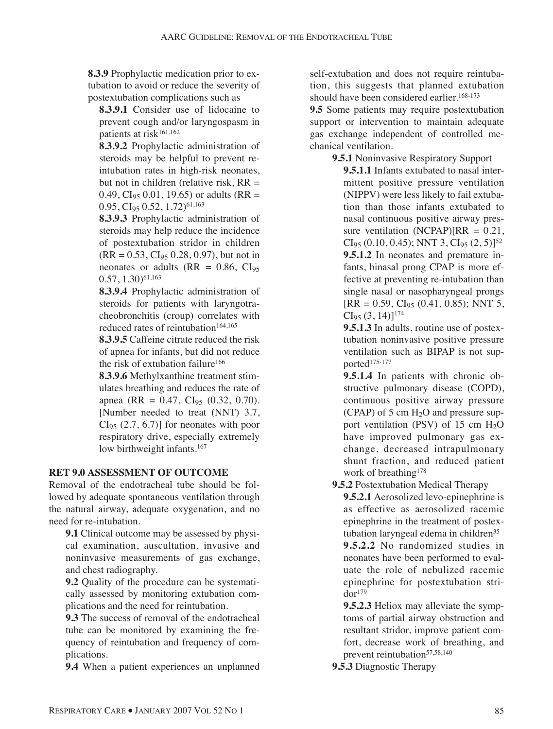**8.3.9** Prophylactic medication prior to extubation to avoid or reduce the severity of postextubation complications such as

**8.3.9.1** Consider use of lidocaine to prevent cough and/or laryngospasm in patients at risk<sup>161,162</sup>

**8.3.9.2** Prophylactic administration of steroids may be helpful to prevent reintubation rates in high-risk neonates, but not in children (relative risk,  $RR =$ 0.49, CI<sub>95</sub> 0.01, 19.65) or adults (RR =  $0.95, Cl<sub>95</sub> 0.52, 1.72)$ <sup>61,163</sup>

**8.3.9.3** Prophylactic administration of steroids may help reduce the incidence of postextubation stridor in children  $(RR = 0.53, Cl<sub>95</sub> 0.28, 0.97)$ , but not in neonates or adults ( $RR = 0.86$ ,  $CI<sub>95</sub>$  $(0.57, 1.30)^{61,163}$ 

**8.3.9.4** Prophylactic administration of steroids for patients with laryngotracheobronchitis (croup) correlates with reduced rates of reintubation<sup>164,165</sup>

**8.3.9.5** Caffeine citrate reduced the risk of apnea for infants, but did not reduce the risk of extubation failure<sup>166</sup>

**8.3.9.6** Methylxanthine treatment stimulates breathing and reduces the rate of apnea (RR =  $0.47$ , CI<sub>95</sub> (0.32, 0.70). [Number needed to treat (NNT) 3.7,  $CI<sub>95</sub>$  (2.7, 6.7)] for neonates with poor respiratory drive, especially extremely low birthweight infants.<sup>167</sup>

### **RET 9.0 ASSESSMENT OF OUTCOME**

Removal of the endotracheal tube should be followed by adequate spontaneous ventilation through the natural airway, adequate oxygenation, and no need for re-intubation.

**9.1** Clinical outcome may be assessed by physical examination, auscultation, invasive and noninvasive measurements of gas exchange, and chest radiography.

**9.2** Quality of the procedure can be systematically assessed by monitoring extubation complications and the need for reintubation.

**9.3** The success of removal of the endotracheal tube can be monitored by examining the frequency of reintubation and frequency of complications.

**9.4** When a patient experiences an unplanned

self-extubation and does not require reintubation, this suggests that planned extubation should have been considered earlier.<sup>168-173</sup>

**9.5** Some patients may require postextubation support or intervention to maintain adequate gas exchange independent of controlled mechanical ventilation.

**9.5.1** Noninvasive Respiratory Support

**9.5.1.1** Infants extubated to nasal intermittent positive pressure ventilation (NIPPV) were less likely to fail extubation than those infants extubated to nasal continuous positive airway pressure ventilation (NCPAP) $[RR = 0.21]$ ,  $CI_{95}$  (0.10, 0.45); NNT 3,  $CI_{95}$  (2, 5)]<sup>52</sup> **9.5.1.2** In neonates and premature infants, binasal prong CPAP is more effective at preventing re-intubation than single nasal or nasopharyngeal prongs  $[RR = 0.59, CI<sub>95</sub> (0.41, 0.85); NNT 5,$  $CI<sub>95</sub> (3, 14)$ ]<sup>174</sup>

**9.5.1.3** In adults, routine use of postextubation noninvasive positive pressure ventilation such as BIPAP is not supported<sup>175-177</sup>

**9.5.1.4** In patients with chronic obstructive pulmonary disease (COPD), continuous positive airway pressure (CPAP) of 5 cm  $H_2O$  and pressure support ventilation (PSV) of 15 cm  $H_2O$ have improved pulmonary gas exchange, decreased intrapulmonary shunt fraction, and reduced patient work of breathing<sup>178</sup>

**9.5.2** Postextubation Medical Therapy

**9.5.2.1** Aerosolized levo-epinephrine is as effective as aerosolized racemic epinephrine in the treatment of postextubation laryngeal edema in children<sup>35</sup> **9.5.2.2** No randomized studies in neonates have been performed to evaluate the role of nebulized racemic epinephrine for postextubation stri $d$ or<sup>179</sup>

**9.5.2.3** Heliox may alleviate the symptoms of partial airway obstruction and resultant stridor, improve patient comfort, decrease work of breathing, and prevent reintubation<sup>57,58,140</sup>

**9.5.3** Diagnostic Therapy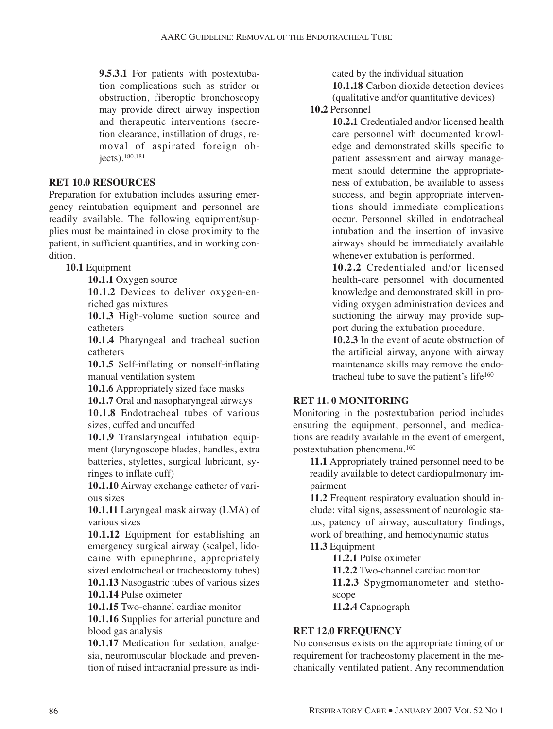**9.5.3.1** For patients with postextubation complications such as stridor or obstruction, fiberoptic bronchoscopy may provide direct airway inspection and therapeutic interventions (secretion clearance, instillation of drugs, removal of aspirated foreign objects).180,181

#### **RET 10.0 RESOURCES**

Preparation for extubation includes assuring emergency reintubation equipment and personnel are readily available. The following equipment/supplies must be maintained in close proximity to the patient, in sufficient quantities, and in working condition.

**10.1** Equipment

**10.1.1** Oxygen source

**10.1.2** Devices to deliver oxygen-enriched gas mixtures

**10.1.3** High-volume suction source and catheters

**10.1.4** Pharyngeal and tracheal suction catheters

**10.1.5** Self-inflating or nonself-inflating manual ventilation system

**10.1.6** Appropriately sized face masks

**10.1.7** Oral and nasopharyngeal airways

**10.1.8** Endotracheal tubes of various sizes, cuffed and uncuffed

**10.1.9** Translaryngeal intubation equipment (laryngoscope blades, handles, extra batteries, stylettes, surgical lubricant, syringes to inflate cuff)

**10.1.10** Airway exchange catheter of various sizes

**10.1.11** Laryngeal mask airway (LMA) of various sizes

**10.1.12** Equipment for establishing an emergency surgical airway (scalpel, lidocaine with epinephrine, appropriately sized endotracheal or tracheostomy tubes) **10.1.13** Nasogastric tubes of various sizes

**10.1.14** Pulse oximeter

**10.1.15** Two-channel cardiac monitor

**10.1.16** Supplies for arterial puncture and blood gas analysis

**10.1.17** Medication for sedation, analgesia, neuromuscular blockade and prevention of raised intracranial pressure as indicated by the individual situation

**10.1.18** Carbon dioxide detection devices (qualitative and/or quantitative devices)

**10.2** Personnel

**10.2.1** Credentialed and/or licensed health care personnel with documented knowledge and demonstrated skills specific to patient assessment and airway management should determine the appropriateness of extubation, be available to assess success, and begin appropriate interventions should immediate complications occur. Personnel skilled in endotracheal intubation and the insertion of invasive airways should be immediately available whenever extubation is performed.

**10.2.2** Credentialed and/or licensed health-care personnel with documented knowledge and demonstrated skill in providing oxygen administration devices and suctioning the airway may provide support during the extubation procedure.

**10.2.3** In the event of acute obstruction of the artificial airway, anyone with airway maintenance skills may remove the endotracheal tube to save the patient's life<sup>160</sup>

#### **RET 11. 0 MONITORING**

Monitoring in the postextubation period includes ensuring the equipment, personnel, and medications are readily available in the event of emergent, postextubation phenomena.160

**11.1** Appropriately trained personnel need to be readily available to detect cardiopulmonary impairment

**11.2** Frequent respiratory evaluation should include: vital signs, assessment of neurologic status, patency of airway, auscultatory findings, work of breathing, and hemodynamic status **11.3** Equipment

**11.2.1** Pulse oximeter

**11.2.2** Two-channel cardiac monitor

**11.2.3** Spygmomanometer and stetho-

scope

**11.2.4** Capnograph

### **RET 12.0 FREQUENCY**

No consensus exists on the appropriate timing of or requirement for tracheostomy placement in the mechanically ventilated patient. Any recommendation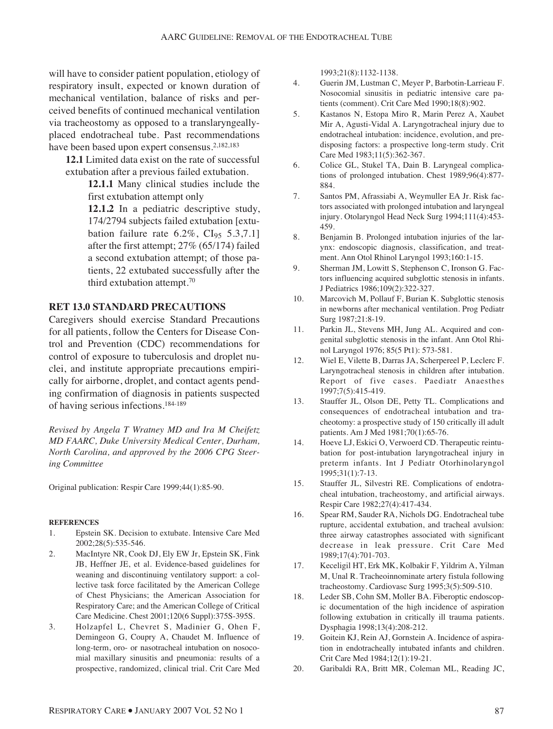will have to consider patient population, etiology of respiratory insult, expected or known duration of mechanical ventilation, balance of risks and perceived benefits of continued mechanical ventilation via tracheostomy as opposed to a translaryngeallyplaced endotracheal tube. Past recommendations have been based upon expert consensus.<sup>2,182,183</sup>

**12.1** Limited data exist on the rate of successful extubation after a previous failed extubation.

> **12.1.1** Many clinical studies include the first extubation attempt only

**12.1.2** In a pediatric descriptive study, 174/2794 subjects failed extubation [extubation failure rate  $6.2\%$ , CI<sub>95</sub> 5.3,7.1] after the first attempt; 27% (65/174) failed a second extubation attempt; of those patients, 22 extubated successfully after the third extubation attempt.70

#### **RET 13.0 STANDARD PRECAUTIONS**

Caregivers should exercise Standard Precautions for all patients, follow the Centers for Disease Control and Prevention (CDC) recommendations for control of exposure to tuberculosis and droplet nuclei, and institute appropriate precautions empirically for airborne, droplet, and contact agents pending confirmation of diagnosis in patients suspected of having serious infections.184-189

*Revised by Angela T Wratney MD and Ira M Cheifetz MD FAARC, Duke University Medical Center, Durham, North Carolina, and approved by the 2006 CPG Steering Committee*

Original publication: Respir Care 1999;44(1):85-90.

#### **REFERENCES**

- 1. Epstein SK. Decision to extubate. Intensive Care Med 2002;28(5):535-546.
- 2. MacIntyre NR, Cook DJ, Ely EW Jr, Epstein SK, Fink JB, Heffner JE, et al. Evidence-based guidelines for weaning and discontinuing ventilatory support: a collective task force facilitated by the American College of Chest Physicians; the American Association for Respiratory Care; and the American College of Critical Care Medicine. Chest 2001;120(6 Suppl):375S-395S.
- 3. Holzapfel L, Chevret S, Madinier G, Ohen F, Demingeon G, Coupry A, Chaudet M. Influence of long-term, oro- or nasotracheal intubation on nosocomial maxillary sinusitis and pneumonia: results of a prospective, randomized, clinical trial. Crit Care Med

1993;21(8):1132-1138.

- 4. Guerin JM, Lustman C, Meyer P, Barbotin-Larrieau F. Nosocomial sinusitis in pediatric intensive care patients (comment). Crit Care Med 1990;18(8):902.
- 5. Kastanos N, Estopa Miro R, Marin Perez A, Xaubet Mir A, Agusti-Vidal A. Laryngotracheal injury due to endotracheal intubation: incidence, evolution, and predisposing factors: a prospective long-term study. Crit Care Med 1983;11(5):362-367.
- 6. Colice GL, Stukel TA, Dain B. Laryngeal complications of prolonged intubation. Chest 1989;96(4):877- 884.
- 7. Santos PM, Afrassiabi A, Weymuller EA Jr. Risk factors associated with prolonged intubation and laryngeal injury. Otolaryngol Head Neck Surg 1994;111(4):453- 459.
- 8. Benjamin B. Prolonged intubation injuries of the larynx: endoscopic diagnosis, classification, and treatment. Ann Otol Rhinol Laryngol 1993;160:1-15.
- 9. Sherman JM, Lowitt S, Stephenson C, Ironson G. Factors influencing acquired subglottic stenosis in infants. J Pediatrics 1986;109(2):322-327.
- 10. Marcovich M, Pollauf F, Burian K. Subglottic stenosis in newborns after mechanical ventilation. Prog Pediatr Surg 1987;21:8-19.
- 11. Parkin JL, Stevens MH, Jung AL. Acquired and congenital subglottic stenosis in the infant. Ann Otol Rhinol Laryngol 1976; 85(5 Pt1): 573-581.
- 12. Wiel E, Vilette B, Darras JA, Scherpereel P, Leclerc F. Laryngotracheal stenosis in children after intubation. Report of five cases. Paediatr Anaesthes 1997;7(5):415-419.
- 13. Stauffer JL, Olson DE, Petty TL. Complications and consequences of endotracheal intubation and tracheotomy: a prospective study of 150 critically ill adult patients. Am J Med 1981;70(1):65-76.
- 14. Hoeve LJ, Eskici O, Verwoerd CD. Therapeutic reintubation for post-intubation laryngotracheal injury in preterm infants. Int J Pediatr Otorhinolaryngol 1995;31(1):7-13.
- 15. Stauffer JL, Silvestri RE. Complications of endotracheal intubation, tracheostomy, and artificial airways. Respir Care 1982;27(4):417-434.
- 16. Spear RM, Sauder RA, Nichols DG. Endotracheal tube rupture, accidental extubation, and tracheal avulsion: three airway catastrophes associated with significant decrease in leak pressure. Crit Care Med 1989;17(4):701-703.
- 17. Keceligil HT, Erk MK, Kolbakir F, Yildrim A, Yilman M, Unal R. Tracheoinnominate artery fistula following tracheostomy. Cardiovasc Surg 1995;3(5):509-510.
- 18. Leder SB, Cohn SM, Moller BA. Fiberoptic endoscopic documentation of the high incidence of aspiration following extubation in critically ill trauma patients. Dysphagia 1998;13(4):208-212.
- 19. Goitein KJ, Rein AJ, Gornstein A. Incidence of aspiration in endotracheally intubated infants and children. Crit Care Med 1984;12(1):19-21.
- 20. Garibaldi RA, Britt MR, Coleman ML, Reading JC,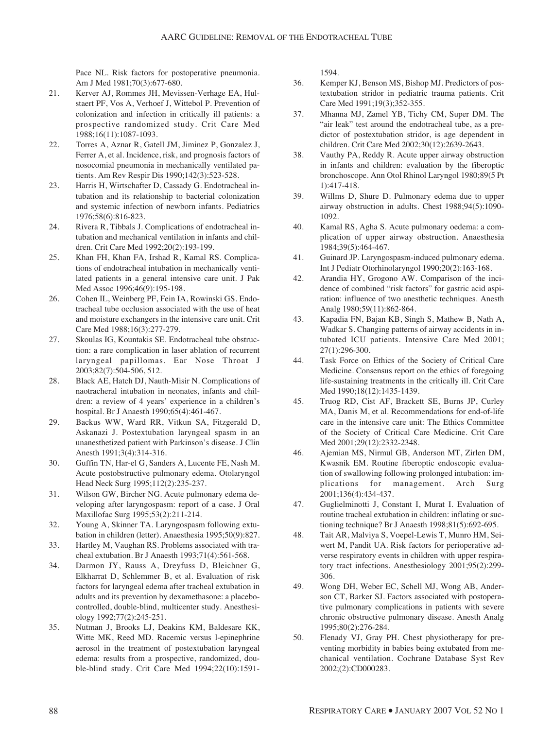Pace NL. Risk factors for postoperative pneumonia. Am J Med 1981;70(3):677-680.

- 21. Kerver AJ, Rommes JH, Mevissen-Verhage EA, Hulstaert PF, Vos A, Verhoef J, Wittebol P. Prevention of colonization and infection in critically ill patients: a prospective randomized study. Crit Care Med 1988;16(11):1087-1093.
- 22. Torres A, Aznar R, Gatell JM, Jiminez P, Gonzalez J, Ferrer A, et al. Incidence, risk, and prognosis factors of nosocomial pneumonia in mechanically ventilated patients. Am Rev Respir Dis 1990;142(3):523-528.
- 23. Harris H, Wirtschafter D, Cassady G. Endotracheal intubation and its relationship to bacterial colonization and systemic infection of newborn infants. Pediatrics 1976;58(6):816-823.
- 24. Rivera R, Tibbals J. Complications of endotracheal intubation and mechanical ventilation in infants and children. Crit Care Med 1992;20(2):193-199.
- 25. Khan FH, Khan FA, Irshad R, Kamal RS. Complications of endotracheal intubation in mechanically ventilated patients in a general intensive care unit. J Pak Med Assoc 1996;46(9):195-198.
- 26. Cohen IL, Weinberg PF, Fein IA, Rowinski GS. Endotracheal tube occlusion associated with the use of heat and moisture exchangers in the intensive care unit. Crit Care Med 1988;16(3):277-279.
- 27. Skoulas IG, Kountakis SE. Endotracheal tube obstruction: a rare complication in laser ablation of recurrent laryngeal papillomas. Ear Nose Throat J 2003;82(7):504-506, 512.
- 28. Black AE, Hatch DJ, Nauth-Misir N. Complications of naotracheral intubation in neonates, infants and children: a review of 4 years' experience in a children's hospital. Br J Anaesth 1990;65(4):461-467.
- 29. Backus WW, Ward RR, Vitkun SA, Fitzgerald D, Askanazi J. Postextubation laryngeal spasm in an unanesthetized patient with Parkinson's disease. J Clin Anesth 1991;3(4):314-316.
- 30. Guffin TN, Har-el G, Sanders A, Lucente FE, Nash M. Acute postobstructive pulmonary edema. Otolaryngol Head Neck Surg 1995;112(2):235-237.
- 31. Wilson GW, Bircher NG. Acute pulmonary edema developing after laryngospasm: report of a case. J Oral Maxillofac Surg 1995;53(2):211-214.
- 32. Young A, Skinner TA. Laryngospasm following extubation in children (letter). Anaesthesia 1995;50(9):827.
- 33. Hartley M, Vaughan RS. Problems associated with tracheal extubation. Br J Anaesth 1993;71(4):561-568.
- 34. Darmon JY, Rauss A, Dreyfuss D, Bleichner G, Elkharrat D, Schlemmer B, et al. Evaluation of risk factors for laryngeal edema after tracheal extubation in adults and its prevention by dexamethasone: a placebocontrolled, double-blind, multicenter study. Anesthesiology 1992;77(2):245-251.
- 35. Nutman J, Brooks LJ, Deakins KM, Baldesare KK, Witte MK, Reed MD. Racemic versus l-epinephrine aerosol in the treatment of postextubation laryngeal edema: results from a prospective, randomized, double-blind study. Crit Care Med 1994;22(10):1591-

1594.

- 36. Kemper KJ, Benson MS, Bishop MJ. Predictors of postextubation stridor in pediatric trauma patients. Crit Care Med 1991;19(3);352-355.
- 37. Mhanna MJ, Zamel YB, Tichy CM, Super DM. The "air leak" test around the endotracheal tube, as a predictor of postextubation stridor, is age dependent in children. Crit Care Med 2002;30(12):2639-2643.
- 38. Vauthy PA, Reddy R. Acute upper airway obstruction in infants and children: evaluation by the fiberoptic bronchoscope. Ann Otol Rhinol Laryngol 1980;89(5 Pt 1):417-418.
- 39. Willms D, Shure D. Pulmonary edema due to upper airway obstruction in adults. Chest 1988;94(5):1090- 1092.
- 40. Kamal RS, Agha S. Acute pulmonary oedema: a complication of upper airway obstruction. Anaesthesia 1984;39(5):464-467.
- 41. Guinard JP. Laryngospasm-induced pulmonary edema. Int J Pediatr Otorhinolaryngol 1990;20(2):163-168.
- 42. Arandia HY, Grogono AW. Comparison of the incidence of combined "risk factors" for gastric acid aspiration: influence of two anesthetic techniques. Anesth Analg 1980;59(11):862-864.
- 43. Kapadia FN, Bajan KB, Singh S, Mathew B, Nath A, Wadkar S. Changing patterns of airway accidents in intubated ICU patients. Intensive Care Med 2001; 27(1):296-300.
- 44. Task Force on Ethics of the Society of Critical Care Medicine. Consensus report on the ethics of foregoing life-sustaining treatments in the critically ill. Crit Care Med 1990;18(12):1435-1439.
- 45. Truog RD, Cist AF, Brackett SE, Burns JP, Curley MA, Danis M, et al. Recommendations for end-of-life care in the intensive care unit: The Ethics Committee of the Society of Critical Care Medicine. Crit Care Med 2001;29(12):2332-2348.
- 46. Ajemian MS, Nirmul GB, Anderson MT, Zirlen DM, Kwasnik EM. Routine fiberoptic endoscopic evaluation of swallowing following prolonged intubation: implications for management. Arch Surg 2001;136(4):434-437.
- 47. Guglielminotti J, Constant I, Murat I. Evaluation of routine tracheal extubation in children: inflating or suctioning technique? Br J Anaesth 1998;81(5):692-695.
- 48. Tait AR, Malviya S, Voepel-Lewis T, Munro HM, Seiwert M, Pandit UA. Risk factors for perioperative adverse respiratory events in children with upper respiratory tract infections. Anesthesiology 2001;95(2):299- 306.
- 49. Wong DH, Weber EC, Schell MJ, Wong AB, Anderson CT, Barker SJ. Factors associated with postoperative pulmonary complications in patients with severe chronic obstructive pulmonary disease. Anesth Analg 1995;80(2):276-284.
- 50. Flenady VJ, Gray PH. Chest physiotherapy for preventing morbidity in babies being extubated from mechanical ventilation. Cochrane Database Syst Rev 2002;(2):CD000283.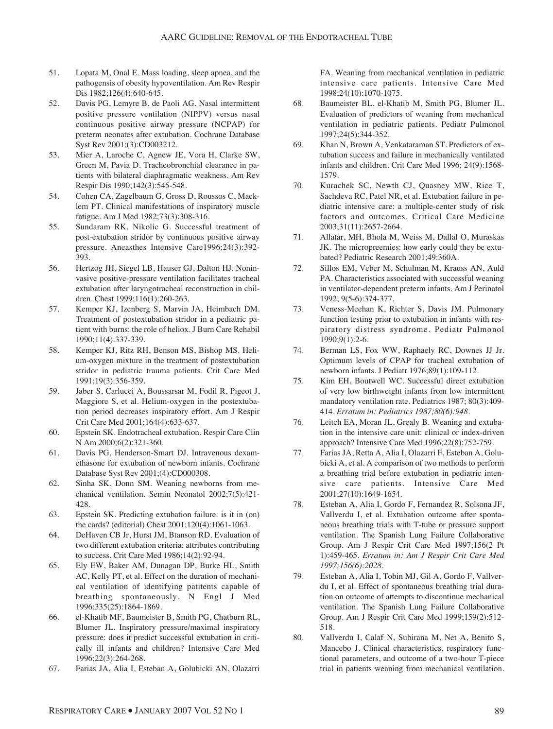- 51. Lopata M, Onal E. Mass loading, sleep apnea, and the pathogensis of obesity hypoventilation. Am Rev Respir Dis 1982;126(4):640-645.
- 52. Davis PG, Lemyre B, de Paoli AG. Nasal intermittent positive pressure ventilation (NIPPV) versus nasal continuous positive airway pressure (NCPAP) for preterm neonates after extubation. Cochrane Database Syst Rev 2001;(3):CD003212.
- 53. Mier A, Laroche C, Agnew JE, Vora H, Clarke SW, Green M, Pavia D. Tracheobronchial clearance in patients with bilateral diaphragmatic weakness. Am Rev Respir Dis 1990;142(3):545-548.
- 54. Cohen CA, Zagelbaum G, Gross D, Roussos C, Macklem PT. Clinical manifestations of inspiratory muscle fatigue. Am J Med 1982;73(3):308-316.
- 55. Sundaram RK, Nikolic G. Successful treatment of post-extubation stridor by continuous positive airway pressure. Aneasthes Intensive Care1996;24(3):392- 393.
- 56. Hertzog JH, Siegel LB, Hauser GJ, Dalton HJ. Noninvasive positive-pressure ventilation facilitates tracheal extubation after laryngotracheal reconstruction in children. Chest 1999;116(1):260-263.
- 57. Kemper KJ, Izenberg S, Marvin JA, Heimbach DM. Treatment of postextubation stridor in a pediatric patient with burns: the role of heliox. J Burn Care Rehabil 1990;11(4):337-339.
- 58. Kemper KJ, Ritz RH, Benson MS, Bishop MS. Helium-oxygen mixture in the treatment of postextubation stridor in pediatric trauma patients. Crit Care Med 1991;19(3):356-359.
- 59. Jaber S, Carlucci A, Boussarsar M, Fodil R, Pigeot J, Maggiore S, et al. Helium-oxygen in the postextubation period decreases inspiratory effort. Am J Respir Crit Care Med 2001;164(4):633-637.
- 60. Epstein SK. Endotracheal extubation. Respir Care Clin N Am 2000;6(2):321-360.
- 61. Davis PG, Henderson-Smart DJ. Intravenous dexamethasone for extubation of newborn infants. Cochrane Database Syst Rev 2001;(4):CD000308.
- 62. Sinha SK, Donn SM. Weaning newborns from mechanical ventilation. Semin Neonatol 2002;7(5):421- 428.
- 63. Epstein SK. Predicting extubation failure: is it in (on) the cards? (editorial) Chest 2001;120(4):1061-1063.
- 64. DeHaven CB Jr, Hurst JM, Btanson RD. Evaluation of two different extubation criteria: attributes contributing to success. Crit Care Med 1986;14(2):92-94.
- 65. Ely EW, Baker AM, Dunagan DP, Burke HL, Smith AC, Kelly PT, et al. Effect on the duration of mechanical ventilation of identifying patitents capable of breathing spontaneously. N Engl J Med 1996;335(25):1864-1869.
- 66. el-Khatib MF, Baumeister B, Smith PG, Chatburn RL, Blumer JL. Inspiratory pressure/maximal inspiratory pressure: does it predict successful extubation in critically ill infants and children? Intensive Care Med 1996;22(3):264-268.
- 67. Farias JA, Alia I, Esteban A, Golubicki AN, Olazarri

FA. Weaning from mechanical ventilation in pediatric intensive care patients. Intensive Care Med 1998;24(10):1070-1075.

- 68. Baumeister BL, el-Khatib M, Smith PG, Blumer JL. Evaluation of predictors of weaning from mechanical ventilation in pediatric patients. Pediatr Pulmonol 1997;24(5):344-352.
- 69. Khan N, Brown A, Venkataraman ST. Predictors of extubation success and failure in mechanically ventilated infants and children. Crit Care Med 1996; 24(9):1568- 1579.
- 70. Kurachek SC, Newth CJ, Quasney MW, Rice T, Sachdeva RC, Patel NR, et al. Extubation failure in pediatric intensive care: a multiple-center study of risk factors and outcomes. Critical Care Medicine 2003;31(11):2657-2664.
- 71. Allatar, MH, Bhola M, Weiss M, Dallal O, Muraskas JK. The micropreemies: how early could they be extubated? Pediatric Research 2001;49:360A.
- 72. Sillos EM, Veber M, Schulman M, Krauss AN, Auld PA. Characteristics associated with successful weaning in ventilator-dependent preterm infants. Am J Perinatol 1992; 9(5-6):374-377.
- 73. Veness-Meehan K, Richter S, Davis JM. Pulmonary function testing prior to extubation in infants with respiratory distress syndrome. Pediatr Pulmonol 1990;9(1):2-6.
- 74. Berman LS, Fox WW, Raphaely RC, Downes JJ Jr. Optimum levels of CPAP for tracheal extubation of newborn infants. J Pediatr 1976;89(1):109-112.
- 75. Kim EH, Boutwell WC. Successful direct extubation of very low birthweight infants from low intermittent mandatory ventilation rate. Pediatrics 1987; 80(3):409- 414. *Erratum in: Pediatrics 1987;80(6):948.*
- 76. Leitch EA, Moran JL, Grealy B. Weaning and extubation in the intensive care unit: clinical or index-driven approach? Intensive Care Med 1996;22(8):752-759.
- 77. Farias JA, Retta A, Alia I, Olazarri F, Esteban A, Golubicki A, et al. A comparison of two methods to perform a breathing trial before extubation in pediatric intensive care patients. Intensive Care Med 2001;27(10):1649-1654.
- 78. Esteban A, Alia I, Gordo F, Fernandez R, Solsona JF, Vallverdu I, et al. Extubation outcome after spontaneous breathing trials with T-tube or pressure support ventilation. The Spanish Lung Failure Collaborative Group. Am J Respir Crit Care Med 1997;156(2 Pt 1):459-465. *Erratum in: Am J Respir Crit Care Med 1997;156(6):2028.*
- 79. Esteban A, Alia I, Tobin MJ, Gil A, Gordo F, Vallverdu I, et al. Effect of spontaneous breathing trial duration on outcome of attempts to discontinue mechanical ventilation. The Spanish Lung Failure Collaborative Group. Am J Respir Crit Care Med 1999;159(2):512- 518.
- 80. Vallverdu I, Calaf N, Subirana M, Net A, Benito S, Mancebo J. Clinical characteristics, respiratory functional parameters, and outcome of a two-hour T-piece trial in patients weaning from mechanical ventilation.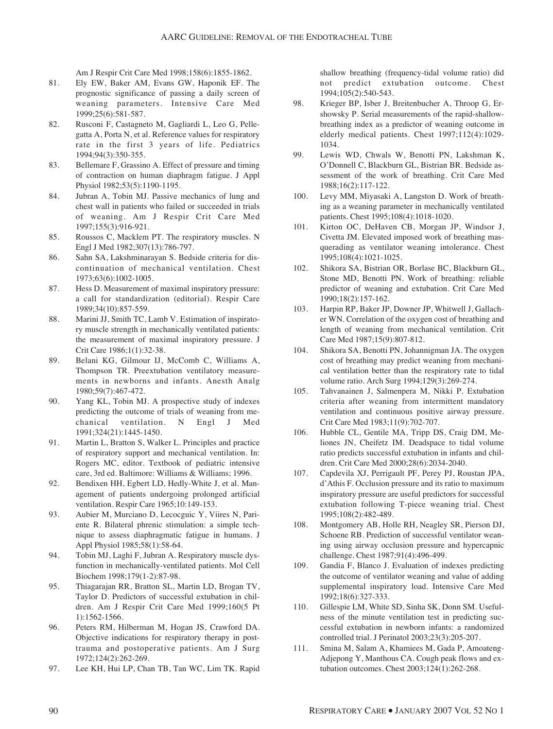Am J Respir Crit Care Med 1998;158(6):1855-1862.

- 81. Ely EW, Baker AM, Evans GW, Haponik EF. The prognostic significance of passing a daily screen of weaning parameters. Intensive Care Med 1999;25(6):581-587.
- 82. Rusconi F, Castagneto M, Gagliardi L, Leo G, Pellegatta A, Porta N, et al. Reference values for respiratory rate in the first 3 years of life. Pediatrics 1994;94(3):350-355.
- 83. Bellemare F, Grassino A. Effect of pressure and timing of contraction on human diaphragm fatigue. J Appl Physiol 1982;53(5):1190-1195.
- 84. Jubran A, Tobin MJ. Passive mechanics of lung and chest wall in patients who failed or succeeded in trials of weaning. Am J Respir Crit Care Med 1997;155(3):916-921.
- 85. Roussos C, Macklem PT. The respiratory muscles. N Engl J Med 1982;307(13):786-797.
- 86. Sahn SA, Lakshminarayan S. Bedside criteria for discontinuation of mechanical ventilation. Chest 1973;63(6):1002-1005.
- 87. Hess D. Measurement of maximal inspiratory pressure: a call for standardization (editorial). Respir Care 1989;34(10):857-559.
- 88. Marini JJ, Smith TC, Lamb V. Estimation of inspiratory muscle strength in mechanically ventilated patients: the measurement of maximal inspiratory pressure. J Crit Care 1986;1(1):32-38.
- 89. Belani KG, Gilmour IJ, McComb C, Williams A, Thompson TR. Preextubation ventilatory measurements in newborns and infants. Anesth Analg 1980;59(7):467-472.
- 90. Yang KL, Tobin MJ. A prospective study of indexes predicting the outcome of trials of weaning from mechanical ventilation. N Engl J Med 1991;324(21):1445-1450.
- 91. Martin L, Bratton S, Walker L. Principles and practice of respiratory support and mechanical ventilation. In: Rogers MC, editor. Textbook of pediatric intensive care, 3rd ed. Baltimore: Williams & Williams; 1996.
- 92. Bendixen HH, Egbert LD, Hedly-White J, et al. Management of patients undergoing prolonged artificial ventilation. Respir Care 1965;10:149-153.
- 93. Aubier M, Murciano D, Lecocguic Y, Viires N, Pariente R. Bilateral phrenic stimulation: a simple technique to assess diaphragmatic fatigue in humans. J Appl Physiol 1985;58(1):58-64.
- 94. Tobin MJ, Laghi F, Jubran A. Respiratory muscle dysfunction in mechanically-ventilated patients. Mol Cell Biochem 1998;179(1-2):87-98.
- 95. Thiagarajan RR, Bratton SL, Martin LD, Brogan TV, Taylor D. Predictors of successful extubation in children. Am J Respir Crit Care Med 1999;160(5 Pt 1):1562-1566.
- 96. Peters RM, Hilberman M, Hogan JS, Crawford DA. Objective indications for respiratory therapy in posttrauma and postoperative patients. Am J Surg 1972;124(2):262-269.
- 97. Lee KH, Hui LP, Chan TB, Tan WC, Lim TK. Rapid

shallow breathing (frequency-tidal volume ratio) did not predict extubation outcome. Chest 1994;105(2):540-543.

- 98. Krieger BP, Isber J, Breitenbucher A, Throop G, Ershowsky P. Serial measurements of the rapid-shallowbreathing index as a predictor of weaning outcome in elderly medical patients. Chest 1997;112(4):1029- 1034.
- 99. Lewis WD, Chwals W, Benotti PN, Lakshman K, O'Donnell C, Blackburn GL, Bistrian BR. Bedside assessment of the work of breathing. Crit Care Med 1988;16(2):117-122.
- 100. Levy MM, Miyasaki A, Langston D. Work of breathing as a weaning parameter in mechanically ventilated patients. Chest 1995;108(4):1018-1020.
- 101. Kirton OC, DeHaven CB, Morgan JP, Windsor J, Civetta JM. Elevated imposed work of breathing masquerading as ventilator weaning intolerance. Chest 1995;108(4):1021-1025.
- 102. Shikora SA, Bistrian OR, Borlase BC, Blackburn GL, Stone MD, Benotti PN. Work of breathing: reliable predictor of weaning and extubation. Crit Care Med 1990;18(2):157-162.
- 103. Harpin RP, Baker JP, Downer JP, Whitwell J, Gallacher WN. Correlation of the oxygen cost of breathing and length of weaning from mechanical ventilation. Crit Care Med 1987;15(9):807-812.
- 104. Shikora SA, Benotti PN, Johannigman JA. The oxygen cost of breathing may predict weaning from mechanical ventilation better than the respiratory rate to tidal volume ratio. Arch Surg 1994;129(3):269-274.
- 105. Tahvanainen J, Salmenpera M, Nikki P. Extubation criteria after weaning from intermittent mandatory ventilation and continuous positive airway pressure. Crit Care Med 1983;11(9):702-707.
- 106. Hubble CL, Gentile MA, Tripp DS, Craig DM, Meliones JN, Cheifetz IM. Deadspace to tidal volume ratio predicts successful extubation in infants and children. Crit Care Med 2000;28(6):2034-2040.
- 107. Capdevila XJ, Perrigault PF, Perey PJ, Roustan JPA, d'Athis F. Occlusion pressure and its ratio to maximum inspiratory pressure are useful predictors for successful extubation following T-piece weaning trial. Chest 1995;108(2):482-489.
- 108. Montgomery AB, Holle RH, Neagley SR, Pierson DJ, Schoene RB. Prediction of successful ventilator weaning using airway occlusion pressure and hypercapnic challenge. Chest 1987;91(4):496-499.
- 109. Gandia F, Blanco J. Evaluation of indexes predicting the outcome of ventilator weaning and value of adding supplemental inspiratory load. Intensive Care Med 1992;18(6):327-333.
- 110. Gillespie LM, White SD, Sinha SK, Donn SM. Usefulness of the minute ventilation test in predicting successful extubation in newborn infants: a randomized controlled trial. J Perinatol 2003;23(3):205-207.
- 111. Smina M, Salam A, Khamiees M, Gada P, Amoateng-Adjepong Y, Manthous CA. Cough peak flows and extubation outcomes. Chest 2003;124(1):262-268.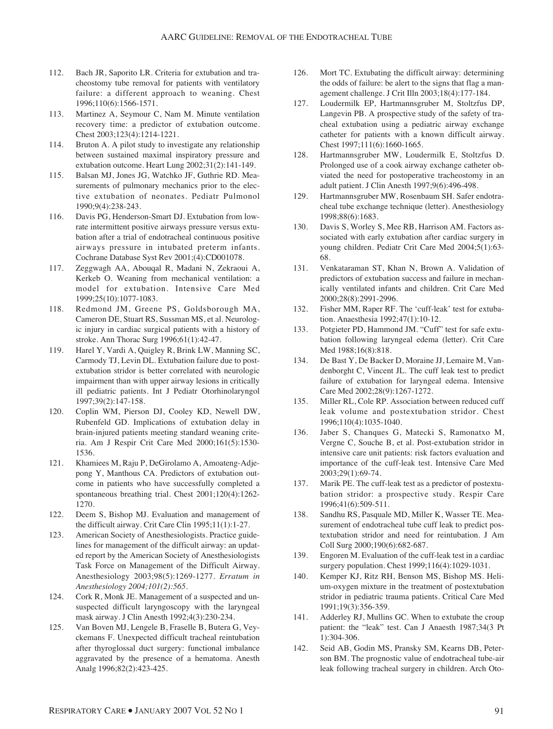- 112. Bach JR, Saporito LR. Criteria for extubation and tracheostomy tube removal for patients with ventilatory failure: a different approach to weaning. Chest 1996;110(6):1566-1571.
- 113. Martinez A, Seymour C, Nam M. Minute ventilation recovery time: a predictor of extubation outcome. Chest 2003;123(4):1214-1221.
- 114. Bruton A. A pilot study to investigate any relationship between sustained maximal inspiratory pressure and extubation outcome. Heart Lung 2002;31(2):141-149.
- 115. Balsan MJ, Jones JG, Watchko JF, Guthrie RD. Measurements of pulmonary mechanics prior to the elective extubation of neonates. Pediatr Pulmonol 1990;9(4):238-243.
- 116. Davis PG, Henderson-Smart DJ. Extubation from lowrate intermittent positive airways pressure versus extubation after a trial of endotracheal continuous positive airways pressure in intubated preterm infants. Cochrane Database Syst Rev 2001;(4):CD001078.
- 117. Zeggwagh AA, Abouqal R, Madani N, Zekraoui A, Kerkeb O. Weaning from mechanical ventilation: a model for extubation. Intensive Care Med 1999;25(10):1077-1083.
- 118. Redmond JM, Greene PS, Goldsborough MA, Cameron DE, Stuart RS, Sussman MS, et al. Neurologic injury in cardiac surgical patients with a history of stroke. Ann Thorac Surg 1996;61(1):42-47.
- 119. Harel Y, Vardi A, Quigley R, Brink LW, Manning SC, Carmody TJ, Levin DL. Extubation failure due to postextubation stridor is better correlated with neurologic impairment than with upper airway lesions in critically ill pediatric patients. Int J Pediatr Otorhinolaryngol 1997;39(2):147-158.
- 120. Coplin WM, Pierson DJ, Cooley KD, Newell DW, Rubenfeld GD. Implications of extubation delay in brain-injured patients meeting standard weaning criteria. Am J Respir Crit Care Med 2000;161(5):1530- 1536.
- 121. Khamiees M, Raju P, DeGirolamo A, Amoateng-Adjepong Y, Manthous CA. Predictors of extubation outcome in patients who have successfully completed a spontaneous breathing trial. Chest 2001;120(4):1262- 1270.
- 122. Deem S, Bishop MJ. Evaluation and management of the difficult airway. Crit Care Clin 1995;11(1):1-27.
- 123. American Society of Anesthesiologists. Practice guidelines for management of the difficult airway: an updated report by the American Society of Anesthesiologists Task Force on Management of the Difficult Airway. Anesthesiology 2003;98(5):1269-1277. *Erratum in Anesthesiology 2004;101(2):565.*
- 124. Cork R, Monk JE. Management of a suspected and unsuspected difficult laryngoscopy with the laryngeal mask airway. J Clin Anesth 1992;4(3):230-234.
- 125. Van Boven MJ, Lengele B, Fraselle B, Butera G, Veyckemans F. Unexpected difficult tracheal reintubation after thyroglossal duct surgery: functional imbalance aggravated by the presence of a hematoma. Anesth Analg 1996;82(2):423-425.
- 126. Mort TC. Extubating the difficult airway: determining the odds of failure: be alert to the signs that flag a management challenge. J Crit Illn 2003;18(4):177-184.
- 127. Loudermilk EP, Hartmannsgruber M, Stoltzfus DP, Langevin PB. A prospective study of the safety of tracheal extubation using a pediatric airway exchange catheter for patients with a known difficult airway. Chest 1997;111(6):1660-1665.
- 128. Hartmannsgruber MW, Loudermilk E, Stoltzfus D. Prolonged use of a cook airway exchange catheter obviated the need for postoperative tracheostomy in an adult patient. J Clin Anesth 1997;9(6):496-498.
- 129. Hartmannsgruber MW, Rosenbaum SH. Safer endotracheal tube exchange technique (letter). Anesthesiology 1998;88(6):1683.
- 130. Davis S, Worley S, Mee RB, Harrison AM. Factors associated with early extubation after cardiac surgery in young children. Pediatr Crit Care Med 2004;5(1):63- 68.
- 131. Venkataraman ST, Khan N, Brown A. Validation of predictors of extubation success and failure in mechanically ventilated infants and children. Crit Care Med 2000;28(8):2991-2996.
- 132. Fisher MM, Raper RF. The 'cuff-leak' test for extubation. Anaesthesia 1992;47(1):10-12.
- 133. Potgieter PD, Hammond JM. "Cuff" test for safe extubation following laryngeal edema (letter). Crit Care Med 1988;16(8):818.
- 134. De Bast Y, De Backer D, Moraine JJ, Lemaire M, Vandenborght C, Vincent JL. The cuff leak test to predict failure of extubation for laryngeal edema. Intensive Care Med 2002;28(9):1267-1272.
- 135. Miller RL, Cole RP. Association between reduced cuff leak volume and postextubation stridor. Chest 1996;110(4):1035-1040.
- 136. Jaber S, Chanques G, Matecki S, Ramonatxo M, Vergne C, Souche B, et al. Post-extubation stridor in intensive care unit patients: risk factors evaluation and importance of the cuff-leak test. Intensive Care Med 2003;29(1):69-74.
- 137. Marik PE. The cuff-leak test as a predictor of postextubation stridor: a prospective study. Respir Care 1996;41(6):509-511.
- 138. Sandhu RS, Pasquale MD, Miller K, Wasser TE. Measurement of endotracheal tube cuff leak to predict postextubation stridor and need for reintubation. J Am Coll Surg 2000;190(6):682-687.
- 139. Engoren M. Evaluation of the cuff-leak test in a cardiac surgery population. Chest 1999;116(4):1029-1031.
- 140. Kemper KJ, Ritz RH, Benson MS, Bishop MS. Helium-oxygen mixture in the treatment of postextubation stridor in pediatric trauma patients. Critical Care Med 1991;19(3):356-359.
- 141. Adderley RJ, Mullins GC. When to extubate the croup patient: the "leak" test. Can J Anaesth 1987;34(3 Pt 1):304-306.
- 142. Seid AB, Godin MS, Pransky SM, Kearns DB, Peterson BM. The prognostic value of endotracheal tube-air leak following tracheal surgery in children. Arch Oto-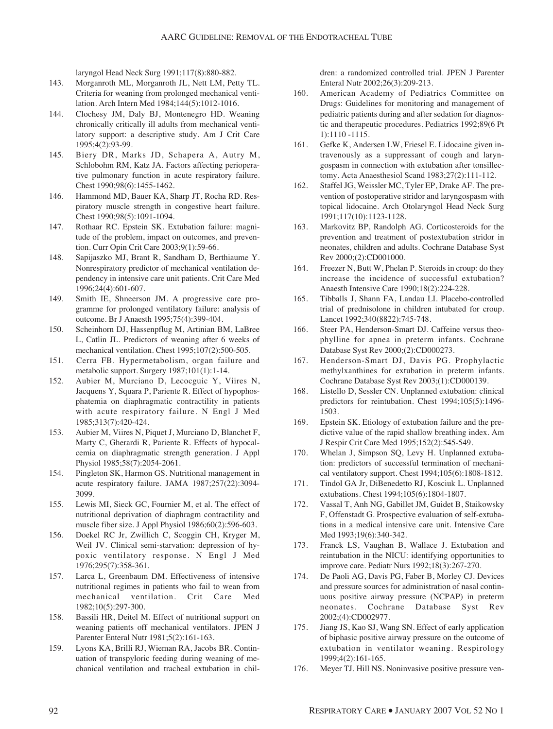laryngol Head Neck Surg 1991;117(8):880-882.

- 143. Morganroth ML, Morganroth JL, Nett LM, Petty TL. Criteria for weaning from prolonged mechanical ventilation. Arch Intern Med 1984;144(5):1012-1016.
- 144. Clochesy JM, Daly BJ, Montenegro HD. Weaning chronically critically ill adults from mechanical ventilatory support: a descriptive study. Am J Crit Care 1995;4(2):93-99.
- 145. Biery DR, Marks JD, Schapera A, Autry M, Schlobohm RM, Katz JA. Factors affecting perioperative pulmonary function in acute respiratory failure. Chest 1990;98(6):1455-1462.
- 146. Hammond MD, Bauer KA, Sharp JT, Rocha RD. Respiratory muscle strength in congestive heart failure. Chest 1990;98(5):1091-1094.
- 147. Rothaar RC. Epstein SK. Extubation failure: magnitude of the problem, impact on outcomes, and prevention. Curr Opin Crit Care 2003;9(1):59-66.
- 148. Sapijaszko MJ, Brant R, Sandham D, Berthiaume Y. Nonrespiratory predictor of mechanical ventilation dependency in intensive care unit patients. Crit Care Med 1996;24(4):601-607.
- 149. Smith IE, Shneerson JM. A progressive care programme for prolonged ventilatory failure: analysis of outcome. Br J Anaesth 1995;75(4):399-404.
- 150. Scheinhorn DJ, Hassenpflug M, Artinian BM, LaBree L, Catlin JL. Predictors of weaning after 6 weeks of mechanical ventilation. Chest 1995;107(2):500-505.
- 151. Cerra FB. Hypermetabolism, organ failure and metabolic support. Surgery 1987;101(1):1-14.
- 152. Aubier M, Murciano D, Lecocguic Y, Viires N, Jacquens Y, Squara P, Pariente R. Effect of hypophosphatemia on diaphragmatic contractility in patients with acute respiratory failure. N Engl J Med 1985;313(7):420-424.
- 153. Aubier M, Viires N, Piquet J, Murciano D, Blanchet F, Marty C, Gherardi R, Pariente R. Effects of hypocalcemia on diaphragmatic strength generation. J Appl Physiol 1985;58(7):2054-2061.
- 154. Pingleton SK, Harmon GS. Nutritional management in acute respiratory failure. JAMA 1987;257(22):3094- 3099.
- 155. Lewis MI, Sieck GC, Fournier M, et al. The effect of nutritional deprivation of diaphragm contractility and muscle fiber size. J Appl Physiol 1986;60(2):596-603.
- 156. Doekel RC Jr, Zwillich C, Scoggin CH, Kryger M, Weil JV. Clinical semi-starvation: depression of hypoxic ventilatory response. N Engl J Med 1976;295(7):358-361.
- 157. Larca L, Greenbaum DM. Effectiveness of intensive nutritional regimes in patients who fail to wean from mechanical ventilation. Crit Care Med 1982;10(5):297-300.
- 158. Bassili HR, Deitel M. Effect of nutritional support on weaning patients off mechanical ventilators. JPEN J Parenter Enteral Nutr 1981;5(2):161-163.
- 159. Lyons KA, Brilli RJ, Wieman RA, Jacobs BR. Continuation of transpyloric feeding during weaning of mechanical ventilation and tracheal extubation in chil-

dren: a randomized controlled trial. JPEN J Parenter Enteral Nutr 2002;26(3):209-213.

- 160. American Academy of Pediatrics Committee on Drugs: Guidelines for monitoring and management of pediatric patients during and after sedation for diagnostic and therapeutic procedures. Pediatrics 1992;89(6 Pt 1):1110 -1115.
- 161. Gefke K, Andersen LW, Friesel E. Lidocaine given intravenously as a suppressant of cough and laryngospasm in connection with extubation after tonsillectomy. Acta Anaesthesiol Scand 1983;27(2):111-112.
- 162. Staffel JG, Weissler MC, Tyler EP, Drake AF. The prevention of postoperative stridor and laryngospasm with topical lidocaine. Arch Otolaryngol Head Neck Surg 1991;117(10):1123-1128.
- 163. Markovitz BP, Randolph AG. Corticosteroids for the prevention and treatment of postextubation stridor in neonates, children and adults. Cochrane Database Syst Rev 2000;(2):CD001000.
- 164. Freezer N, Butt W, Phelan P. Steroids in croup: do they increase the incidence of successful extubation? Anaesth Intensive Care 1990;18(2):224-228.
- 165. Tibballs J, Shann FA, Landau LI. Placebo-controlled trial of prednisolone in children intubated for croup. Lancet 1992;340(8822):745-748.
- 166. Steer PA, Henderson-Smart DJ. Caffeine versus theophylline for apnea in preterm infants. Cochrane Database Syst Rev 2000;(2):CD000273.
- 167. Henderson-Smart DJ, Davis PG. Prophylactic methylxanthines for extubation in preterm infants. Cochrane Database Syst Rev 2003;(1):CD000139.
- 168. Listello D, Sessler CN. Unplanned extubation: clinical predictors for reintubation. Chest 1994;105(5):1496- 1503.
- 169. Epstein SK. Etiology of extubation failure and the predictive value of the rapid shallow breathing index. Am J Respir Crit Care Med 1995;152(2):545-549.
- 170. Whelan J, Simpson SQ, Levy H. Unplanned extubation: predictors of successful termination of mechanical ventilatory support. Chest 1994;105(6):1808-1812.
- 171. Tindol GA Jr, DiBenedetto RJ, Kosciuk L. Unplanned extubations. Chest 1994;105(6):1804-1807.
- 172. Vassal T, Anh NG, Gabillet JM, Guidet B, Staikowsky F, Offenstadt G. Prospective evaluation of self-extubations in a medical intensive care unit. Intensive Care Med 1993:19(6):340-342.
- 173. Franck LS, Vaughan B, Wallace J. Extubation and reintubation in the NICU: identifying opportunities to improve care. Pediatr Nurs 1992;18(3):267-270.
- 174. De Paoli AG, Davis PG, Faber B, Morley CJ. Devices and pressure sources for administration of nasal continuous positive airway pressure (NCPAP) in preterm neonates. Cochrane Database Syst Rev 2002;(4):CD002977.
- 175. Jiang JS, Kao SJ, Wang SN. Effect of early application of biphasic positive airway pressure on the outcome of extubation in ventilator weaning. Respirology 1999;4(2):161-165.
- 176. Meyer TJ. Hill NS. Noninvasive positive pressure ven-